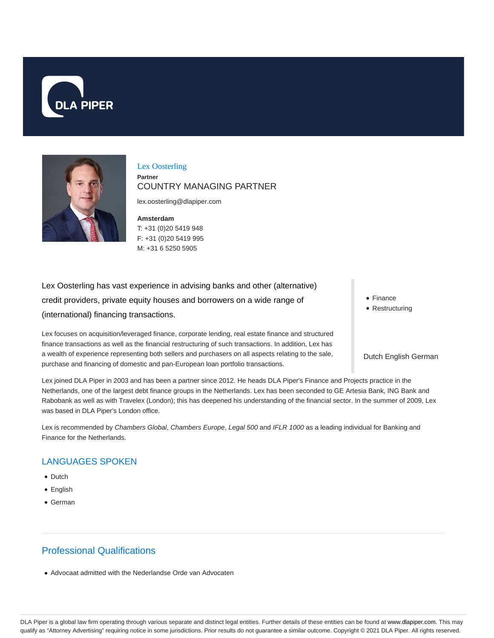



Lex Oosterling **Partner** COUNTRY MANAGING PARTNER

lex.oosterling@dlapiper.com

**Amsterdam** T: +31 (0)20 5419 948 F: +31 (0)20 5419 995 M: +31 6 5250 5905

Lex Oosterling has vast experience in advising banks and other (alternative) credit providers, private equity houses and borrowers on a wide range of (international) financing transactions.

Lex focuses on acquisition/leveraged finance, corporate lending, real estate finance and structured finance transactions as well as the financial restructuring of such transactions. In addition, Lex has a wealth of experience representing both sellers and purchasers on all aspects relating to the sale, purchase and financing of domestic and pan-European loan portfolio transactions.

• Finance

• Restructuring

#### Dutch English German

Lex joined DLA Piper in 2003 and has been a partner since 2012. He heads DLA Piper's Finance and Projects practice in the Netherlands, one of the largest debt finance groups in the Netherlands. Lex has been seconded to GE Artesia Bank, ING Bank and Rabobank as well as with Travelex (London); this has deepened his understanding of the financial sector. In the summer of 2009, Lex was based in DLA Piper's London office.

Lex is recommended by Chambers Global, Chambers Europe, Legal 500 and IFLR 1000 as a leading individual for Banking and Finance for the Netherlands.

#### LANGUAGES SPOKEN

- Dutch
- English
- German

# Professional Qualifications

Advocaat admitted with the Nederlandse Orde van Advocaten

DLA Piper is a global law firm operating through various separate and distinct legal entities. Further details of these entities can be found at www.dlapiper.com. This may qualify as "Attorney Advertising" requiring notice in some jurisdictions. Prior results do not guarantee a similar outcome. Copyright © 2021 DLA Piper. All rights reserved.